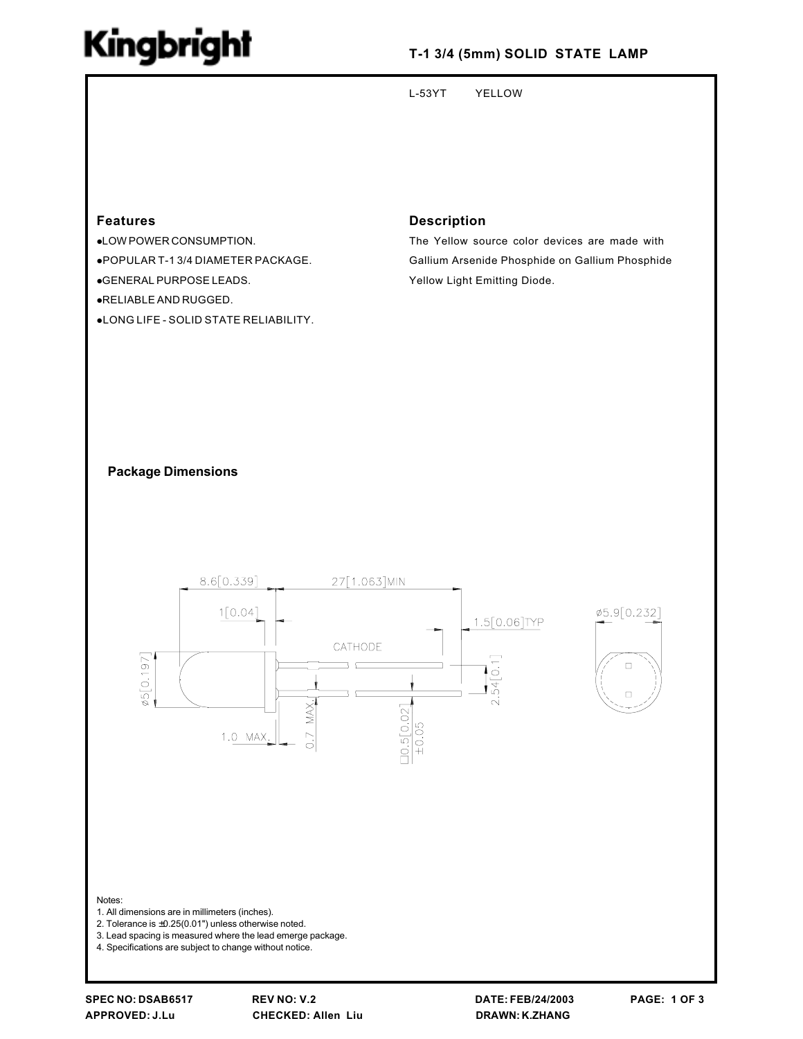## Kingbright

### T-1 3/4 (5mm) SOLID STATE LAMP

 $L-53YT$ **YELLOW** 

#### **Features**

•LOW POWER CONSUMPTION.

.POPULAR T-1 3/4 DIAMETER PACKAGE.

.GENERAL PURPOSE LEADS.

.RELIABLE AND RUGGED.

.LONG LIFE - SOLID STATE RELIABILITY.

#### **Description**

The Yellow source color devices are made with Gallium Arsenide Phosphide on Gallium Phosphide Yellow Light Emitting Diode.

#### **Package Dimensions**



3. Lead spacing is measured where the lead emerge package.

4. Specifications are subject to change without notice.

**REV NO: V.2 CHECKED: Allen Liu**  DATE: FEB/24/2003 **DRAWN: K.ZHANG**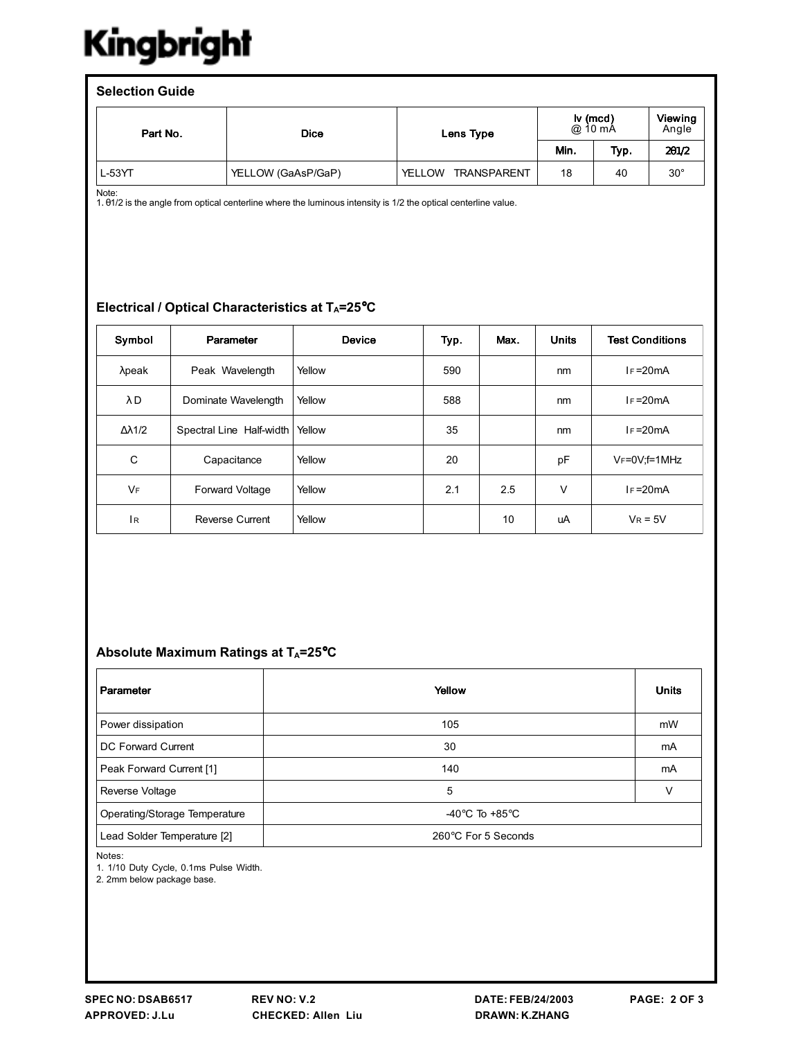# Kingbright

| <b>Selection Guide</b> |                    |                                     |                                          |      |                  |  |  |  |  |  |
|------------------------|--------------------|-------------------------------------|------------------------------------------|------|------------------|--|--|--|--|--|
| Part No.               | <b>Dice</b>        | Lens Type                           | $\mathsf{I} \mathsf{v}$ (mcd)<br>@ 10 mÅ |      | Viewing<br>Angle |  |  |  |  |  |
|                        |                    |                                     | Min.                                     | Typ. | 201/2            |  |  |  |  |  |
| L-53YT                 | YELLOW (GaAsP/GaP) | <b>TRANSPARENT</b><br><b>YELLOW</b> | 18                                       | 40   | $30^{\circ}$     |  |  |  |  |  |

Note:

1. 01/2 is the angle from optical centerline where the luminous intensity is 1/2 the optical centerline value.

#### Electrical / Optical Characteristics at TA=25°C

| Symbol               | Parameter                | <b>Device</b> | Typ. | Max. | <b>Units</b> | <b>Test Conditions</b> |
|----------------------|--------------------------|---------------|------|------|--------------|------------------------|
| $\lambda$ peak       | Peak Wavelength          | Yellow        | 590  |      | nm           | $IF = 20mA$            |
| $\lambda$ D          | Dominate Wavelength      | Yellow        | 588  |      | nm           | $I_F = 20mA$           |
| $\Delta \lambda$ 1/2 | Spectral Line Half-width | Yellow        | 35   |      | nm           | $IF = 20mA$            |
| C                    | Capacitance              | Yellow        | 20   |      | pF           | $V_F = 0V$ ; f=1MHz    |
| <b>VF</b>            | Forward Voltage          | Yellow        | 2.1  | 2.5  | $\vee$       | $I_F = 20mA$           |
| Iв.                  | <b>Reverse Current</b>   | Yellow        |      | 10   | uA           | $V_R = 5V$             |

#### Absolute Maximum Ratings at T<sub>A</sub>=25°C

| Parameter                     | Yellow                             | <b>Units</b> |
|-------------------------------|------------------------------------|--------------|
| Power dissipation             | 105                                | mW           |
| DC Forward Current            | 30                                 | mA           |
| Peak Forward Current [1]      | 140                                | mA           |
| Reverse Voltage               | 5                                  |              |
| Operating/Storage Temperature | -40 $\degree$ C To +85 $\degree$ C |              |
| Lead Solder Temperature [2]   | 260°C For 5 Seconds                |              |

Notes:

1. 1/10 Duty Cycle, 0.1ms Pulse Width.

2. 2mm below package base.